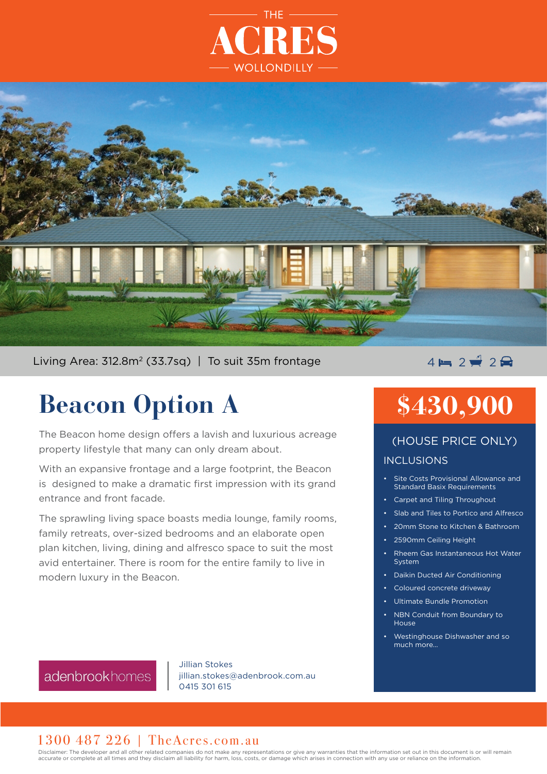



Living Area:  $312.8m^2$  (33.7sg) | To suit 35m frontage

# **Beacon Option A**

The Beacon home design offers a lavish and luxurious acreage property lifestyle that many can only dream about.

With an expansive frontage and a large footprint, the Beacon is designed to make a dramatic first impression with its grand entrance and front facade.

The sprawling living space boasts media lounge, family rooms, family retreats, over-sized bedrooms and an elaborate open plan kitchen, living, dining and alfresco space to suit the most avid entertainer. There is room for the entire family to live in modern luxury in the Beacon.

### $4 - 2$   $2 - 2$

## **\$430,900**

#### INCLUSIONS (HOUSE PRICE ONLY)

- Site Costs Provisional Allowance and Standard Basix Requirements
- Carpet and Tiling Throughout
- Slab and Tiles to Portico and Alfresco
- 20mm Stone to Kitchen & Bathroom
- 2590mm Ceiling Height
- Rheem Gas Instantaneous Hot Water System
- Daikin Ducted Air Conditioning
- Coloured concrete driveway
- Ultimate Bundle Promotion
- NBN Conduit from Boundary to House
- Westinghouse Dishwasher and so much more...

adenbrookhomes

Jillian Stokes jillian.stokes@adenbrook.com.au 0415 301 615

#### 1300 487 226 | TheAcres.com.au

Disclaimer: The developer and all other related companies do not make any representations or give any warranties that the information set out in this document is or will remain accurate or complete at all times and they disclaim all liability for harm, loss, costs, or damage which arises in connection with any use or reliance on the information.